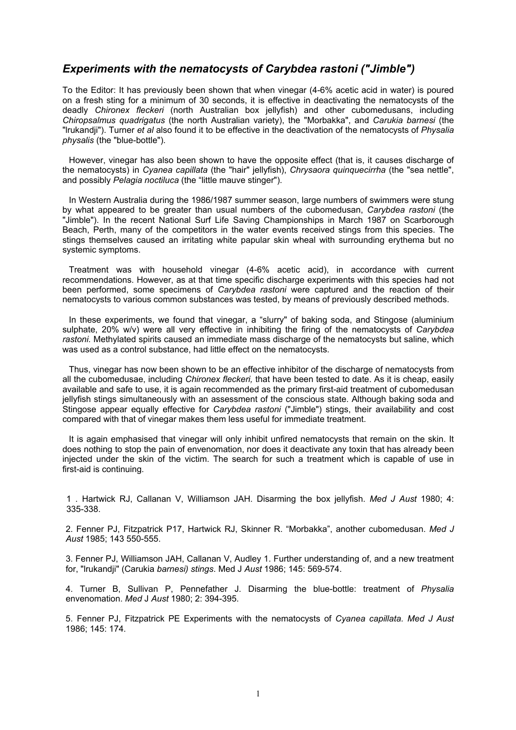## *Experiments with the nematocysts of Carybdea rastoni ("Jimble")*

To the Editor: It has previously been shown that when vinegar (4-6% acetic acid in water) is poured on a fresh sting for a minimum of 30 seconds, it is effective in deactivating the nematocysts of the deadly *Chironex fleckeri* (north Australian box jellyfish) and other cubomedusans, including *Chiropsalmus quadrigatus* (the north Australian variety), the "Morbakka", and *Carukia barnesi* (the "lrukandji"). Turner *et al* also found it to be effective in the deactivation of the nematocysts of *Physalia physalis* (the "blue-bottle").

However, vinegar has also been shown to have the opposite effect (that is, it causes discharge of the nematocysts) in *Cyanea capillata* (the "hair" jellyfish), *Chrysaora quinquecirrha* (the "sea nettle", and possibly *Pelagia noctiluca* (the "little mauve stinger").

In Western Australia during the 1986/1987 summer season, large numbers of swimmers were stung by what appeared to be greater than usual numbers of the cubomedusan, *Carybdea rastoni* (the "Jimble"). In the recent National Surf Life Saving Championships in March 1987 on Scarborough Beach, Perth, many of the competitors in the water events received stings from this species. The stings themselves caused an irritating white papular skin wheal with surrounding erythema but no systemic symptoms.

Treatment was with household vinegar (4-6% acetic acid), in accordance with current recommendations. However, as at that time specific discharge experiments with this species had not been performed, some specimens of *Carybdea rastoni* were captured and the reaction of their nematocysts to various common substances was tested, by means of previously described methods.

In these experiments, we found that vinegar, a "slurry" of baking soda, and Stingose (aluminium sulphate, 20% w/v) were all very effective in inhibiting the firing of the nematocysts of *Carybdea rastoni.* Methylated spirits caused an immediate mass discharge of the nematocysts but saline, which was used as a control substance, had little effect on the nematocysts.

Thus, vinegar has now been shown to be an effective inhibitor of the discharge of nematocysts from all the cubomedusae, including *Chironex fleckeri,* that have been tested to date. As it is cheap, easily available and safe to use, it is again recommended as the primary first-aid treatment of cubomedusan jellyfish stings simultaneously with an assessment of the conscious state. Although baking soda and Stingose appear equally effective for *Carybdea rastoni* ("Jimble") stings, their availability and cost compared with that of vinegar makes them less useful for immediate treatment.

It is again emphasised that vinegar will only inhibit unfired nematocysts that remain on the skin. It does nothing to stop the pain of envenomation, nor does it deactivate any toxin that has already been injected under the skin of the victim. The search for such a treatment which is capable of use in first-aid is continuing.

1 . Hartwick RJ, Callanan V, Williamson JAH. Disarming the box jellyfish. *Med J Aust* 1980; 4: 335-338.

2. Fenner PJ, Fitzpatrick P17, Hartwick RJ, Skinner R. "Morbakka", another cubomedusan. *Med J Aust* 1985; 143 550-555.

3. Fenner PJ, Williamson JAH, Callanan V, Audley 1. Further understanding of, and a new treatment for, "lrukandji" (Carukia *barnesi) stings*. Med J *Aust* 1986; 145: 569-574.

4. Turner B, Sullivan P, Pennefather J. Disarming the blue-bottle: treatment of *Physalia*  envenomation. *Med* J *Aust* 1980; 2: 394-395.

5. Fenner PJ, Fitzpatrick PE Experiments with the nematocysts of *Cyanea capillata. Med J Aust*  1986; 145: 174.